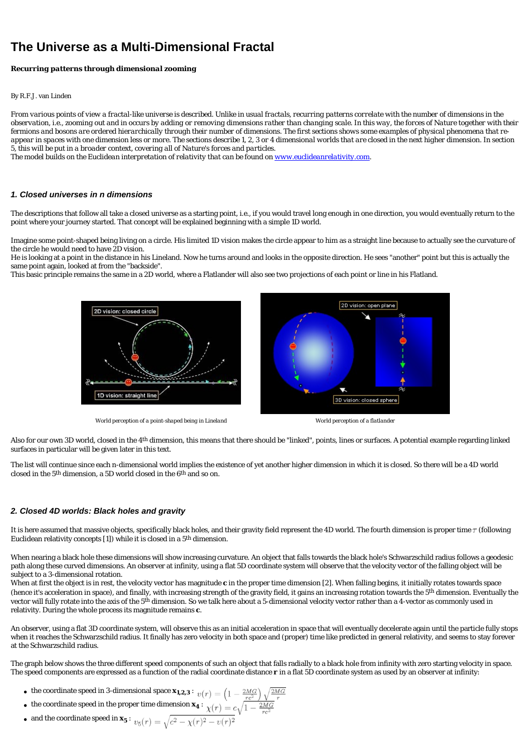# **The Universe as a Multi-Dimensional Fractal**

## *Recurring patterns through dimensional zooming*

#### By R.F.J. van Linden

*From various points of view a fractal-like universe is described. Unlike in usual fractals, recurring patterns correlate with the number of dimensions in the observation, i.e., zooming out and in occurs by adding or removing dimensions rather than changing scale. In this way, the forces of Nature together with their fermions and bosons are ordered hierarchically through their number of dimensions. The first sections shows some examples of physical phenomena that reappear in spaces with one dimension less or more. The sections describe 1, 2, 3 or 4 dimensional worlds that are closed in the next higher dimension. In section 5, this will be put in a broader context, covering all of Nature's forces and particles.*

*The model builds on the Euclidean interpretation of relativity that can be found on [www.euclideanrelativity.com](http://www.euclideanrelativity.com/).*

#### **1. Closed universes in n dimensions**

The descriptions that follow all take a closed universe as a starting point, i.e., if you would travel long enough in one direction, you would eventually return to the point where your journey started. That concept will be explained beginning with a simple 1D world.

Imagine some point-shaped being living on a circle. His limited 1D vision makes the circle appear to him as a straight line because to actually see the curvature of the circle he would need to have 2D vision.

He is looking at a point in the distance in his Lineland. Now he turns around and looks in the opposite direction. He sees "another" point but this is actually the same point again, looked at from the "backside".

This basic principle remains the same in a 2D world, where a Flatlander will also see two projections of each point or line in his Flatland.



*World perception of a point-shaped being in Lineland World perception of a flatlander*

Also for our own 3D world, closed in the 4<sup>th</sup> dimension, this means that there should be "linked", points, lines or surfaces. A potential example regarding linked surfaces in particular will be given later in this text.

The list will continue since each *n*-dimensional world implies the existence of yet another higher dimension in which it is closed. So there will be a 4D world closed in the 5th dimension, a 5D world closed in the 6th and so on.

## **2. Closed 4D worlds: Black holes and gravity**

It is here assumed that massive objects, specifically black holes, and their gravity field represent the 4D world. The fourth dimension is proper time  $\tau$  (following Euclidean relativity concepts [1]) while it is closed in a 5th dimension.

When nearing a black hole these dimensions will show increasing curvature. An object that falls towards the black hole's Schwarzschild radius follows a geodesic path along these curved dimensions. An observer at infinity, using a flat 5D coordinate system will observe that the velocity vector of the falling object will be subject to a 3-dimensional rotation.

When at first the object is in rest, the velocity vector has magnitude  $c$  in the proper time dimension [2]. When falling begins, it initially rotates towards space (hence it's acceleration in space), and finally, with increasing strength of the gravity field, it gains an increasing rotation towards the 5<sup>th</sup> dimension. Eventually the vector will fully rotate into the axis of the 5<sup>th</sup> dimension. So we talk here about a 5-dimensional velocity vector rather than a 4-vector as commonly used in relativity. During the whole process its magnitude remains *c*.

An observer, using a flat 3D coordinate system, will observe this as an initial acceleration in space that will eventually decelerate again until the particle fully stops when it reaches the Schwarzschild radius. It finally has zero velocity in both space and (proper) time like predicted in general relativity, and seems to stay forever at the Schwarzschild radius.

The graph below shows the three different speed components of such an object that falls radially to a black hole from infinity with zero starting velocity in space. The speed components are expressed as a function of the radial coordinate distance *r* in a flat 5D coordinate system as used by an observer at infinity:

- $\bullet \,\,$  the coordinate speed in 3-dimensional space  $\textbf{\textit{x}}_{\textbf{\textit{1}},\textbf{\textit{2}},3}$  :
- the coordinate speed in the proper time dimension  $x_4$  :
- and the coordinate speed in  $x_5$  :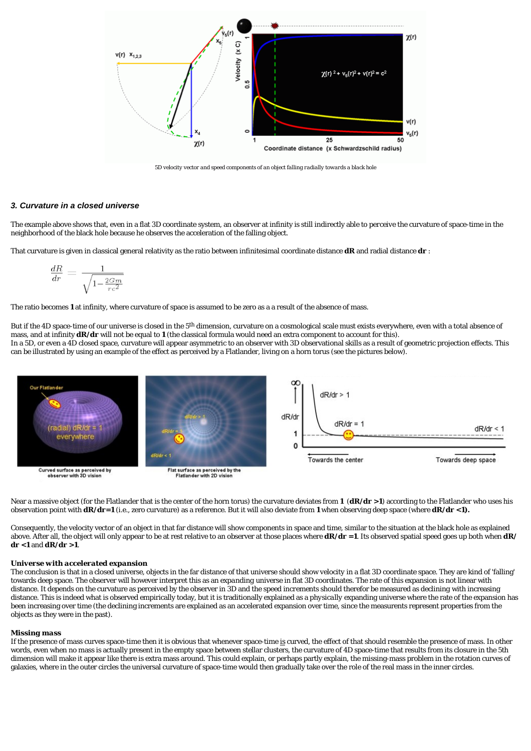

*5D velocity vector and speed components of an object falling radially towards a black hole*

## **3. Curvature in a closed universe**

The example above shows that, even in a flat 3D coordinate system, an observer at infinity is still indirectly able to *perceive* the curvature of space-time in the neighborhood of the black hole because he observes the acceleration of the falling object.

That curvature is given in classical general relativity as the ratio between infinitesimal coordinate distance *dR* and radial distance *dr* :

$$
\frac{dR}{dr} = \frac{1}{\sqrt{1 - \frac{2Gm}{rc^2}}}
$$

The ratio becomes *1* at infinity, where curvature of space is assumed to be zero as a a result of the absence of mass.

But if the 4D space-time of our universe is closed in the 5<sup>th</sup> dimension, curvature on a cosmological scale must exists everywhere, even with a total absence of mass, and at infinity *dR/dr* will *not* be equal to *1* (the classical formula would need an extra component to account for this). In a 5D, or even a 4D closed space, curvature will appear asymmetric to an observer with 3D observational skills as a result of geometric projection effects. This can be illustrated by using an example of the effect as perceived by a Flatlander, living on a horn torus (see the pictures below).



Near a massive object (for the Flatlander that is the center of the horn torus) the curvature deviates from **1** (*dR***/dr >1**) according to the Flatlander who uses his observation point with *dR/dr=1* (i.e., zero curvature) as a reference. But it will *also* deviate from *1* when observing deep space (where *dR/dr <1)***.**

Consequently, the velocity vector of an object in that far distance will show components in space and time, similar to the situation at the black hole as explained above. After all, the object will only appear to be at rest relative to an observer at those places where *dR/dr =1*. Its observed spatial speed goes up both when *dR/ dr <1* and *dR/dr >1*.

#### *Universe with accelerated expansion*

The conclusion is that in a closed universe, objects in the far distance of that universe should show *velocity* in a flat 3D coordinate space. They are kind of 'falling' towards deep space. The observer will however interpret this as an *expanding* universe in flat 3D coordinates. The rate of this expansion is not linear with distance. It depends on the curvature as perceived by the observer in 3D and the speed *increments* should therefor be measured as *declining* with increasing distance. This is indeed what is observed empirically today, but it is traditionally explained as a *physically* expanding universe where the rate of the expansion has been increasing over time (the declining increments are explained as an accelerated expansion over time, since the measurents represent properties from the objects as they were in the past).

#### *Missing mass*

If the presence of mass curves space-time then it is obvious that whenever space-time *is* curved, the effect of that should *resemble* the presence of mass. In other words, even when no mass is actually present in the empty space between stellar clusters, the curvature of 4D space-time that results from its closure in the 5th dimension will make it appear like there is extra mass around. This could explain, or perhaps partly explain, the missing-mass problem in the rotation curves of galaxies, where in the outer circles the universal curvature of space-time would then gradually take over the role of the real mass in the inner circles.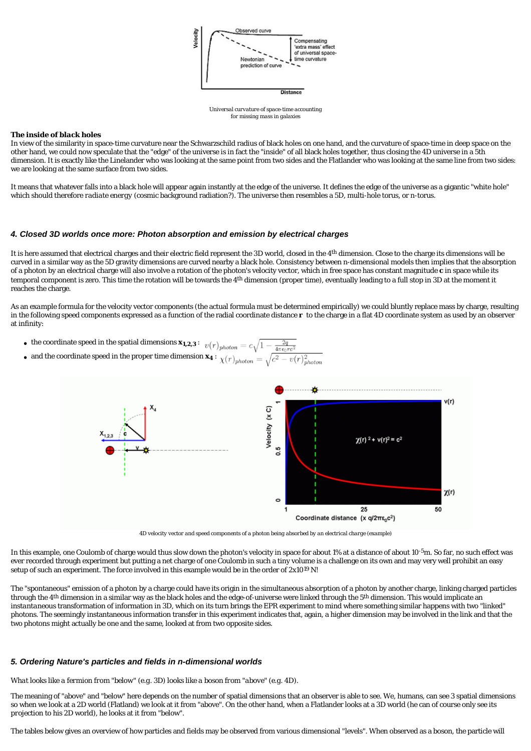

*Universal curvature of space-time accounting for missing mass in galaxies*

#### *The inside of black holes*

In view of the similarity in space-time curvature near the Schwarzschild radius of black holes on one hand, and the curvature of space-time in deep space on the other hand, we could now speculate that the "edge" of the universe is in fact the "inside" of all black holes together, thus closing the 4D universe in a 5th dimension. It is exactly like the Linelander who was looking at the same point from two sides and the Flatlander who was looking at the same line from two sides: we are looking at the same surface from two sides.

It means that whatever falls into a black hole will appear again instantly at the edge of the universe. It defines the edge of the universe as a gigantic "white hole" which should therefore *radiate energy* (cosmic background radiation?). The universe then resembles a 5D, multi-hole torus, or *n*-torus.

## **4. Closed 3D worlds once more: Photon absorption and emission by electrical charges**

It is here assumed that electrical charges and their electric field represent the 3D world, closed in the 4<sup>th</sup> dimension. Close to the charge its dimensions will be curved in a similar way as the 5D gravity dimensions are curved nearby a black hole. Consistency between *n*-dimensional models then implies that the absorption of a photon by an electrical charge will also involve a rotation of the photon's velocity vector, which in free space has constant magnitude *c* in space while its temporal component is zero. This time the rotation will be towards the  $4<sup>th</sup>$  dimension (proper time), eventually leading to a full stop in 3D at the moment it reaches the charge.

As an *example* formula for the velocity vector components (the actual formula must be determined empirically) we could bluntly replace mass by charge, resulting in the following speed components expressed as a function of the radial coordinate distance *r* to the charge in a flat 4D coordinate system as used by an observer at infinity:

- $\bullet$  the coordinate speed in the spatial dimensions  $x_{1,2,3}$  :
- $\bullet$  and the coordinate speed in the proper time dimension  $x_4$  :



*4D velocity vector and speed components of a photon being absorbed by an electrical charge (example)*

In this example, one Coulomb of charge would thus slow down the photon's velocity in space for about 1% at a distance of about  $10^{-5}$ m. So far, no such effect was ever recorded through experiment but putting a net charge of one Coulomb in such a tiny volume is a challenge on its own and may very well prohibit an easy setup of such an experiment. The force involved in this example would be in the order of  $2x10^{19}$  N!

The "spontaneous" *emission* of a photon by a charge could have its origin in the simultaneous *absorption* of a photon by another charge, linking charged particles through the 4<sup>th</sup> dimension in a similar way as the black holes and the edge-of-universe were linked through the 5<sup>th</sup> dimension. This would implicate an *instantaneous* transformation of information in 3D, which on its turn brings the EPR experiment to mind where something similar happens with two "linked" photons. The seemingly instantaneous information transfer in this experiment indicates that, again, a higher dimension may be involved in the link and that the two photons might actually be one and the same, looked at from two opposite sides.

#### **5. Ordering Nature's particles and fields in n-dimensional worlds**

*What looks like a fermion from "below" (e.g. 3D) looks like a boson from "above" (e.g. 4D).*

The meaning of "above" and "below" here depends on the number of spatial dimensions that an observer is able to see. We, humans, can see 3 spatial dimensions so when we look at a 2D world (Flatland) we look at it from "above". On the other hand, when a Flatlander looks at a 3D world (he can of course only see its *projection* to his 2D world), he looks at it from "below".

The tables below gives an overview of how particles and fields may be observed from various dimensional "levels". When observed as a boson, the particle will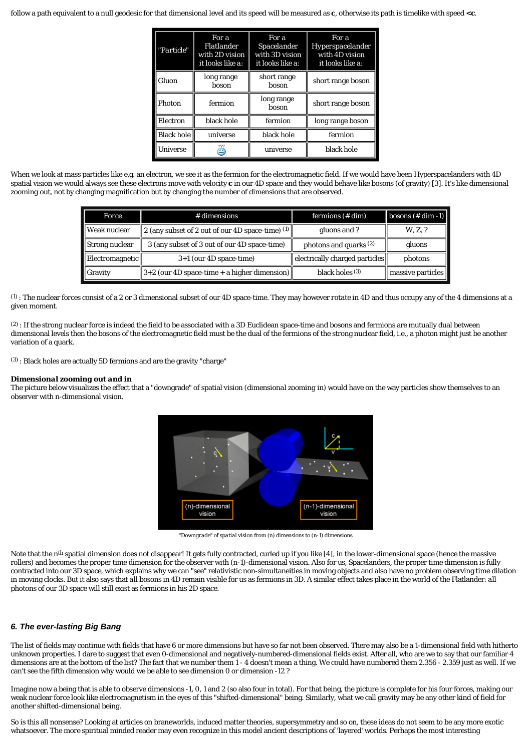follow a path equivalent to a null geodesic for that dimensional level and its speed will be measured as *c*, otherwise its path is timelike with speed *<c*.

| "Particle"        | For a<br><b>Flatlander</b><br>with 2D vision<br>it looks like a: | For a<br>Spacelander<br>with 3D vision<br>it looks like a: | For a<br>Hyperspacelander<br>with 4D vision<br>it looks like a: |  |
|-------------------|------------------------------------------------------------------|------------------------------------------------------------|-----------------------------------------------------------------|--|
| Gluon             | long range<br>boson                                              | short range<br>boson                                       | short range boson                                               |  |
| Photon            | fermion                                                          | long range<br>boson                                        | short range boson                                               |  |
| Electron          | black hole                                                       | fermion                                                    | long range boson                                                |  |
| <b>Black hole</b> | universe                                                         | black hole                                                 | fermion                                                         |  |
| Universe          | Ξ                                                                | universe                                                   | black hole                                                      |  |

When we look at mass particles like e.g. an electron, we see it as the fermion for the electromagnetic field. If we would have been Hyperspacelanders with 4D spatial vision we would always see these electrons move with velocity *c* in our 4D space and they would behave like bosons (of gravity) [3]. It's like *dimensional zooming out*, not by changing magnification but by changing the number of dimensions that are observed.

| <b>Force</b>    | $#$ dimensions                                        | fermions $(\# dim)$                                    | $\left $ bosons (# dim -1) |
|-----------------|-------------------------------------------------------|--------------------------------------------------------|----------------------------|
| Weak nuclear    | 2 (any subset of 2 out of our 4D space-time) $(1)$    | gluons and ?                                           | W. Z. ?                    |
| Strong nuclear  | 3 (any subset of 3 out of our 4D space-time)          | photons and quarks $(2)$                               | gluons                     |
| Electromagnetic | $3+1$ (our 4D space-time)                             | $\parallel$ electrically charged particles $\parallel$ | photons                    |
| Gravity         | $\ 3+2$ (our 4D space-time + a higher dimension) $\ $ | black holes $(3)$                                      | massive particles          |

(1) : The nuclear forces consist of a 2 or 3 dimensional subset of our 4D space-time. They may however *rotate* in 4D and thus occupy any of the 4 dimensions at a given moment.

 $(2)$ : If the strong nuclear force is indeed the field to be associated with a 3D Euclidean space-time and bosons and fermions are mutually dual between dimensional levels then the bosons of the electromagnetic field must be the dual of the fermions of the strong nuclear field, i.e., a photon might just be another variation of a quark.

(3) : Black holes are actually 5D fermions and are the gravity "charge"

#### *Dimensional zooming out and in*

The picture below visualizes the effect that a "downgrade" of spatial vision (*dimensional zooming in*) would have on the way particles show themselves to an observer with *n*-dimensional vision.



*"Downgrade" of spatial vision from (n) dimensions to (n-1) dimensions*

Note that the n<sup>th</sup> spatial dimension does not disappear! It gets fully contracted, curled up if you like [4], in the lower-dimensional space (hence the massive rollers) and becomes the proper time dimension for the observer with (*n-1*)-dimensional vision. Also for us, Spacelanders, the proper time dimension is fully contracted into our 3D space, which explains why we can "see" relativistic non-simultaneities in moving objects and also have no problem observing time dilation in moving clocks. But it also says that *all* bosons in 4D remain visible for us as fermions in 3D. A similar effect takes place in the world of the Flatlander: *all* photons of our 3D space will still exist as fermions in his 2D space.

## **6. The ever-lasting Big Bang**

The list of fields may continue with fields that have 6 or more dimensions but have so far not been observed. There may also be a 1-dimensional field with hitherto unknown properties. I dare to suggest that even 0-dimensional and negatively-numbered-dimensional fields exist. After all, who are we to say that our familiar 4 dimensions are at the bottom of the list? The fact that we number them 1 - 4 doesn't mean a thing. We could have numbered them 2.356 - 2.359 just as well. If we can't see the fifth dimension why would we be able to see dimension 0 or dimension *-12* ?

Imagine now a being that is able to observe dimensions -1, 0, 1 and 2 (so also four in total). For that being, the picture is complete for *his* four forces, making *our* weak nuclear force look like electromagnetism in the eyes of this "shifted-dimensional" being. Similarly, what we call gravity may be any other kind of field for another shifted-dimensional being.

So is this all nonsense? Looking at articles on braneworlds, induced matter theories, supersymmetry and so on, these ideas do not seem to be any more exotic whatsoever. The more spiritual minded reader may even recognize in this model ancient descriptions of 'layered' worlds. Perhaps the most interesting